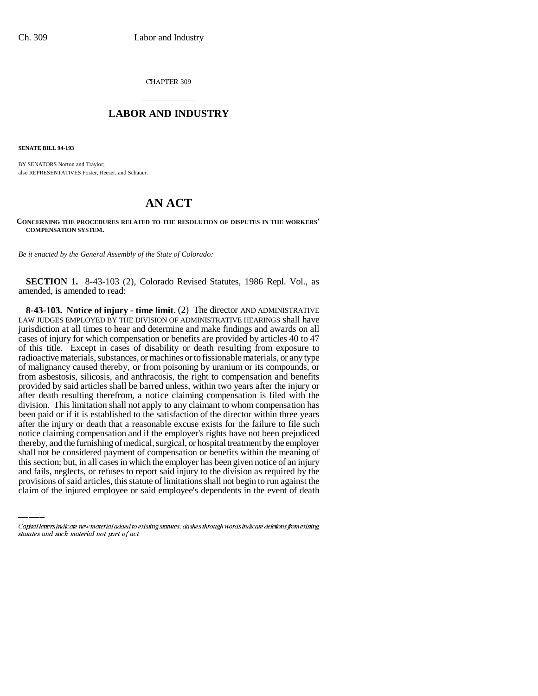CHAPTER 309

## \_\_\_\_\_\_\_\_\_\_\_\_\_\_\_ **LABOR AND INDUSTRY** \_\_\_\_\_\_\_\_\_\_\_\_\_\_\_

**SENATE BILL 94-193**

BY SENATORS Norton and Traylor; also REPRESENTATIVES Foster, Reeser, and Schauer.

## **AN ACT**

**CONCERNING THE PROCEDURES RELATED TO THE RESOLUTION OF DISPUTES IN THE WORKERS' COMPENSATION SYSTEM.**

*Be it enacted by the General Assembly of the State of Colorado:*

**SECTION 1.** 8-43-103 (2), Colorado Revised Statutes, 1986 Repl. Vol., as amended, is amended to read:

shall not be considered payment of compensation or benefits within the meaning of **8-43-103. Notice of injury - time limit.** (2) The director AND ADMINISTRATIVE LAW JUDGES EMPLOYED BY THE DIVISION OF ADMINISTRATIVE HEARINGS shall have jurisdiction at all times to hear and determine and make findings and awards on all cases of injury for which compensation or benefits are provided by articles 40 to 47 of this title. Except in cases of disability or death resulting from exposure to radioactive materials, substances, or machines or to fissionable materials, or any type of malignancy caused thereby, or from poisoning by uranium or its compounds, or from asbestosis, silicosis, and anthracosis, the right to compensation and benefits provided by said articles shall be barred unless, within two years after the injury or after death resulting therefrom, a notice claiming compensation is filed with the division. This limitation shall not apply to any claimant to whom compensation has been paid or if it is established to the satisfaction of the director within three years after the injury or death that a reasonable excuse exists for the failure to file such notice claiming compensation and if the employer's rights have not been prejudiced thereby, and the furnishing of medical, surgical, or hospital treatment by the employer this section; but, in all cases in which the employer has been given notice of an injury and fails, neglects, or refuses to report said injury to the division as required by the provisions of said articles, this statute of limitations shall not begin to run against the claim of the injured employee or said employee's dependents in the event of death

Capital letters indicate new material added to existing statutes; dashes through words indicate deletions from existing statutes and such material not part of act.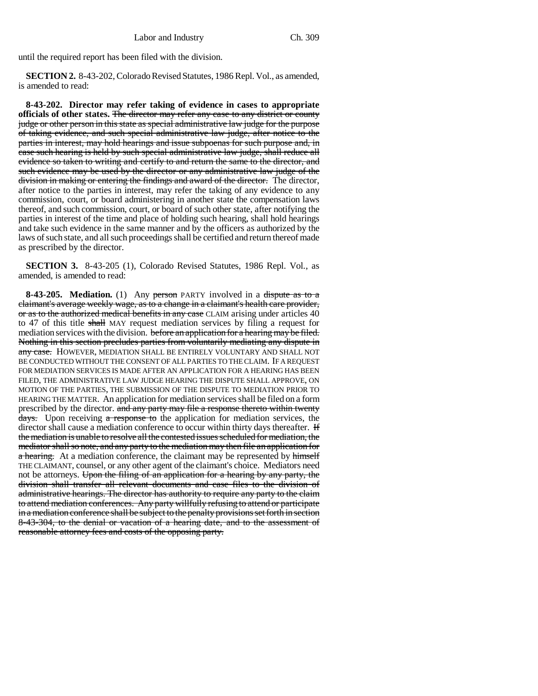until the required report has been filed with the division.

**SECTION 2.** 8-43-202, Colorado Revised Statutes, 1986 Repl. Vol., as amended, is amended to read:

**8-43-202. Director may refer taking of evidence in cases to appropriate officials of other states.** The director may refer any case to any district or county judge or other person in this state as special administrative law judge for the purpose of taking evidence, and such special administrative law judge, after notice to the parties in interest, may hold hearings and issue subpoenas for such purpose and, in case such hearing is held by such special administrative law judge, shall reduce all evidence so taken to writing and certify to and return the same to the director, and such evidence may be used by the director or any administrative law judge of the division in making or entering the findings and award of the director. The director, after notice to the parties in interest, may refer the taking of any evidence to any commission, court, or board administering in another state the compensation laws thereof, and such commission, court, or board of such other state, after notifying the parties in interest of the time and place of holding such hearing, shall hold hearings and take such evidence in the same manner and by the officers as authorized by the laws of such state, and all such proceedings shall be certified and return thereof made as prescribed by the director.

**SECTION 3.** 8-43-205 (1), Colorado Revised Statutes, 1986 Repl. Vol., as amended, is amended to read:

**8-43-205.** Mediation. (1) Any person PARTY involved in a dispute as to a claimant's average weekly wage, as to a change in a claimant's health care provider, or as to the authorized medical benefits in any case CLAIM arising under articles 40 to 47 of this title shall MAY request mediation services by filing a request for mediation services with the division. before an application for a hearing may be filed. Nothing in this section precludes parties from voluntarily mediating any dispute in any case. HOWEVER, MEDIATION SHALL BE ENTIRELY VOLUNTARY AND SHALL NOT BE CONDUCTED WITHOUT THE CONSENT OF ALL PARTIES TO THE CLAIM. IF A REQUEST FOR MEDIATION SERVICES IS MADE AFTER AN APPLICATION FOR A HEARING HAS BEEN FILED, THE ADMINISTRATIVE LAW JUDGE HEARING THE DISPUTE SHALL APPROVE, ON MOTION OF THE PARTIES, THE SUBMISSION OF THE DISPUTE TO MEDIATION PRIOR TO HEARING THE MATTER. An application for mediation services shall be filed on a form prescribed by the director. and any party may file a response thereto within twenty days. Upon receiving a response to the application for mediation services, the director shall cause a mediation conference to occur within thirty days thereafter. H the mediation is unable to resolve all the contested issues scheduled for mediation, the mediator shall so note, and any party to the mediation may then file an application for a hearing. At a mediation conference, the claimant may be represented by himself THE CLAIMANT, counsel, or any other agent of the claimant's choice. Mediators need not be attorneys. Upon the filing of an application for a hearing by any party, the division shall transfer all relevant documents and case files to the division of administrative hearings. The director has authority to require any party to the claim to attend mediation conferences. Any party willfully refusing to attend or participate in a mediation conference shall be subject to the penalty provisions set forth in section 8-43-304, to the denial or vacation of a hearing date, and to the assessment of reasonable attorney fees and costs of the opposing party.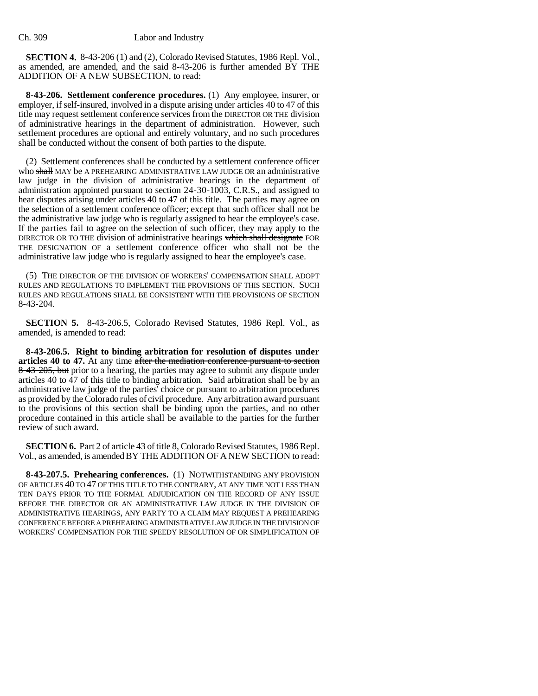**SECTION 4.** 8-43-206 (1) and (2), Colorado Revised Statutes, 1986 Repl. Vol., as amended, are amended, and the said 8-43-206 is further amended BY THE ADDITION OF A NEW SUBSECTION, to read:

**8-43-206. Settlement conference procedures.** (1) Any employee, insurer, or employer, if self-insured, involved in a dispute arising under articles 40 to 47 of this title may request settlement conference services from the DIRECTOR OR THE division of administrative hearings in the department of administration. However, such settlement procedures are optional and entirely voluntary, and no such procedures shall be conducted without the consent of both parties to the dispute.

(2) Settlement conferences shall be conducted by a settlement conference officer who shall MAY be A PREHEARING ADMINISTRATIVE LAW JUDGE OR an administrative law judge in the division of administrative hearings in the department of administration appointed pursuant to section 24-30-1003, C.R.S., and assigned to hear disputes arising under articles 40 to 47 of this title. The parties may agree on the selection of a settlement conference officer; except that such officer shall not be the administrative law judge who is regularly assigned to hear the employee's case. If the parties fail to agree on the selection of such officer, they may apply to the DIRECTOR OR TO THE division of administrative hearings which shall designate FOR THE DESIGNATION OF a settlement conference officer who shall not be the administrative law judge who is regularly assigned to hear the employee's case.

(5) THE DIRECTOR OF THE DIVISION OF WORKERS' COMPENSATION SHALL ADOPT RULES AND REGULATIONS TO IMPLEMENT THE PROVISIONS OF THIS SECTION. SUCH RULES AND REGULATIONS SHALL BE CONSISTENT WITH THE PROVISIONS OF SECTION 8-43-204.

**SECTION 5.** 8-43-206.5, Colorado Revised Statutes, 1986 Repl. Vol., as amended, is amended to read:

**8-43-206.5. Right to binding arbitration for resolution of disputes under articles 40 to 47.** At any time after the mediation conference pursuant to section 8-43-205, but prior to a hearing, the parties may agree to submit any dispute under articles 40 to 47 of this title to binding arbitration. Said arbitration shall be by an administrative law judge of the parties' choice or pursuant to arbitration procedures as provided by the Colorado rules of civil procedure. Any arbitration award pursuant to the provisions of this section shall be binding upon the parties, and no other procedure contained in this article shall be available to the parties for the further review of such award.

**SECTION 6.** Part 2 of article 43 of title 8, Colorado Revised Statutes, 1986 Repl. Vol., as amended, is amended BY THE ADDITION OF A NEW SECTION to read:

**8-43-207.5. Prehearing conferences.** (1) NOTWITHSTANDING ANY PROVISION OF ARTICLES 40 TO 47 OF THIS TITLE TO THE CONTRARY, AT ANY TIME NOT LESS THAN TEN DAYS PRIOR TO THE FORMAL ADJUDICATION ON THE RECORD OF ANY ISSUE BEFORE THE DIRECTOR OR AN ADMINISTRATIVE LAW JUDGE IN THE DIVISION OF ADMINISTRATIVE HEARINGS, ANY PARTY TO A CLAIM MAY REQUEST A PREHEARING CONFERENCE BEFORE A PREHEARING ADMINISTRATIVE LAW JUDGE IN THE DIVISION OF WORKERS' COMPENSATION FOR THE SPEEDY RESOLUTION OF OR SIMPLIFICATION OF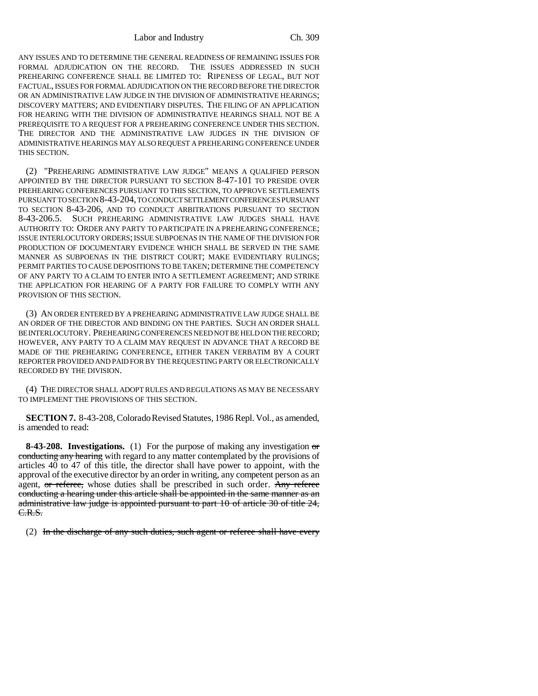ANY ISSUES AND TO DETERMINE THE GENERAL READINESS OF REMAINING ISSUES FOR FORMAL ADJUDICATION ON THE RECORD. THE ISSUES ADDRESSED IN SUCH PREHEARING CONFERENCE SHALL BE LIMITED TO: RIPENESS OF LEGAL, BUT NOT FACTUAL, ISSUES FOR FORMAL ADJUDICATION ON THE RECORD BEFORE THE DIRECTOR OR AN ADMINISTRATIVE LAW JUDGE IN THE DIVISION OF ADMINISTRATIVE HEARINGS; DISCOVERY MATTERS; AND EVIDENTIARY DISPUTES. THE FILING OF AN APPLICATION FOR HEARING WITH THE DIVISION OF ADMINISTRATIVE HEARINGS SHALL NOT BE A PREREQUISITE TO A REQUEST FOR A PREHEARING CONFERENCE UNDER THIS SECTION. THE DIRECTOR AND THE ADMINISTRATIVE LAW JUDGES IN THE DIVISION OF ADMINISTRATIVE HEARINGS MAY ALSO REQUEST A PREHEARING CONFERENCE UNDER THIS SECTION.

(2) "PREHEARING ADMINISTRATIVE LAW JUDGE" MEANS A QUALIFIED PERSON APPOINTED BY THE DIRECTOR PURSUANT TO SECTION 8-47-101 TO PRESIDE OVER PREHEARING CONFERENCES PURSUANT TO THIS SECTION, TO APPROVE SETTLEMENTS PURSUANT TO SECTION 8-43-204, TO CONDUCT SETTLEMENT CONFERENCES PURSUANT TO SECTION 8-43-206, AND TO CONDUCT ARBITRATIONS PURSUANT TO SECTION 8-43-206.5. SUCH PREHEARING ADMINISTRATIVE LAW JUDGES SHALL HAVE AUTHORITY TO: ORDER ANY PARTY TO PARTICIPATE IN A PREHEARING CONFERENCE; ISSUE INTERLOCUTORY ORDERS; ISSUE SUBPOENAS IN THE NAME OF THE DIVISION FOR PRODUCTION OF DOCUMENTARY EVIDENCE WHICH SHALL BE SERVED IN THE SAME MANNER AS SUBPOENAS IN THE DISTRICT COURT; MAKE EVIDENTIARY RULINGS; PERMIT PARTIES TO CAUSE DEPOSITIONS TO BE TAKEN; DETERMINE THE COMPETENCY OF ANY PARTY TO A CLAIM TO ENTER INTO A SETTLEMENT AGREEMENT; AND STRIKE THE APPLICATION FOR HEARING OF A PARTY FOR FAILURE TO COMPLY WITH ANY PROVISION OF THIS SECTION.

(3) AN ORDER ENTERED BY A PREHEARING ADMINISTRATIVE LAW JUDGE SHALL BE AN ORDER OF THE DIRECTOR AND BINDING ON THE PARTIES. SUCH AN ORDER SHALL BE INTERLOCUTORY. PREHEARING CONFERENCES NEED NOT BE HELD ON THE RECORD; HOWEVER, ANY PARTY TO A CLAIM MAY REQUEST IN ADVANCE THAT A RECORD BE MADE OF THE PREHEARING CONFERENCE, EITHER TAKEN VERBATIM BY A COURT REPORTER PROVIDED AND PAID FOR BY THE REQUESTING PARTY OR ELECTRONICALLY RECORDED BY THE DIVISION.

(4) THE DIRECTOR SHALL ADOPT RULES AND REGULATIONS AS MAY BE NECESSARY TO IMPLEMENT THE PROVISIONS OF THIS SECTION.

**SECTION 7.** 8-43-208, Colorado Revised Statutes, 1986 Repl. Vol., as amended, is amended to read:

**8-43-208. Investigations.** (1) For the purpose of making any investigation or conducting any hearing with regard to any matter contemplated by the provisions of articles 40 to 47 of this title, the director shall have power to appoint, with the approval of the executive director by an order in writing, any competent person as an agent, or referee, whose duties shall be prescribed in such order. Any referee conducting a hearing under this article shall be appointed in the same manner as an administrative law judge is appointed pursuant to part 10 of article 30 of title 24, C.R.S.

(2) In the discharge of any such duties, such agent or referee shall have every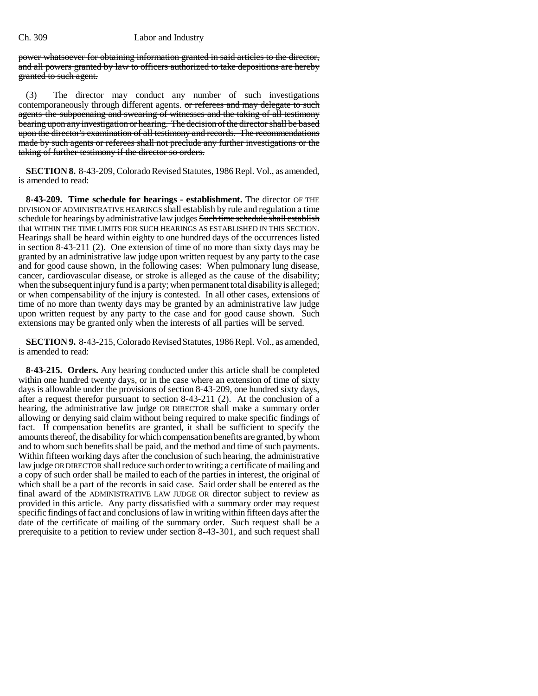## Ch. 309 Labor and Industry

power whatsoever for obtaining information granted in said articles to the director, and all powers granted by law to officers authorized to take depositions are hereby granted to such agent.

(3) The director may conduct any number of such investigations contemporaneously through different agents. or referees and may delegate to such agents the subpoenaing and swearing of witnesses and the taking of all testimony bearing upon any investigation or hearing. The decision of the director shall be based upon the director's examination of all testimony and records. The recommendations made by such agents or referees shall not preclude any further investigations or the taking of further testimony if the director so orders.

**SECTION 8.** 8-43-209, Colorado Revised Statutes, 1986 Repl. Vol., as amended, is amended to read:

**8-43-209. Time schedule for hearings - establishment.** The director OF THE DIVISION OF ADMINISTRATIVE HEARINGS shall establish by rule and regulation a time schedule for hearings by administrative law judges Such time schedule shall establish that WITHIN THE TIME LIMITS FOR SUCH HEARINGS AS ESTABLISHED IN THIS SECTION. Hearings shall be heard within eighty to one hundred days of the occurrences listed in section 8-43-211 (2). One extension of time of no more than sixty days may be granted by an administrative law judge upon written request by any party to the case and for good cause shown, in the following cases: When pulmonary lung disease, cancer, cardiovascular disease, or stroke is alleged as the cause of the disability; when the subsequent injury fund is a party; when permanent total disability is alleged; or when compensability of the injury is contested. In all other cases, extensions of time of no more than twenty days may be granted by an administrative law judge upon written request by any party to the case and for good cause shown. Such extensions may be granted only when the interests of all parties will be served.

**SECTION 9.** 8-43-215, Colorado Revised Statutes, 1986 Repl. Vol., as amended, is amended to read:

**8-43-215. Orders.** Any hearing conducted under this article shall be completed within one hundred twenty days, or in the case where an extension of time of sixty days is allowable under the provisions of section 8-43-209, one hundred sixty days, after a request therefor pursuant to section 8-43-211 (2). At the conclusion of a hearing, the administrative law judge OR DIRECTOR shall make a summary order allowing or denying said claim without being required to make specific findings of fact. If compensation benefits are granted, it shall be sufficient to specify the amounts thereof, the disability for which compensation benefits are granted, by whom and to whom such benefits shall be paid, and the method and time of such payments. Within fifteen working days after the conclusion of such hearing, the administrative law judge OR DIRECTOR shall reduce such order to writing; a certificate of mailing and a copy of such order shall be mailed to each of the parties in interest, the original of which shall be a part of the records in said case. Said order shall be entered as the final award of the ADMINISTRATIVE LAW JUDGE OR director subject to review as provided in this article. Any party dissatisfied with a summary order may request specific findings of fact and conclusions of law in writing within fifteen days after the date of the certificate of mailing of the summary order. Such request shall be a prerequisite to a petition to review under section 8-43-301, and such request shall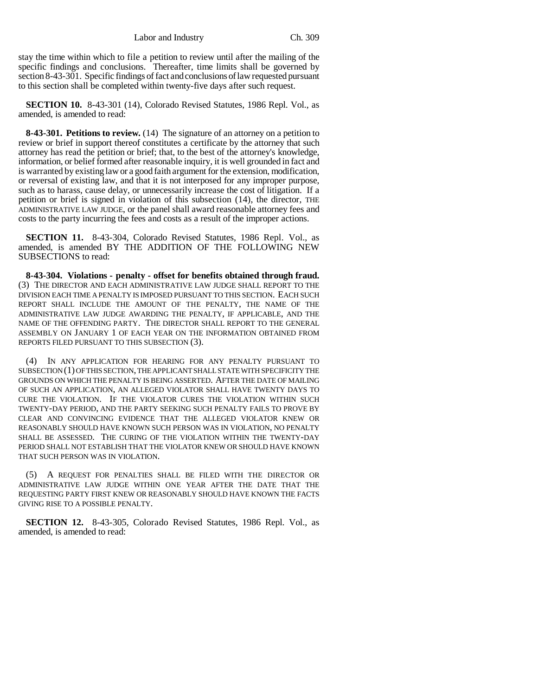Labor and Industry Ch. 309

stay the time within which to file a petition to review until after the mailing of the specific findings and conclusions. Thereafter, time limits shall be governed by section 8-43-301. Specific findings of fact and conclusions of law requested pursuant to this section shall be completed within twenty-five days after such request.

**SECTION 10.** 8-43-301 (14), Colorado Revised Statutes, 1986 Repl. Vol., as amended, is amended to read:

**8-43-301. Petitions to review.** (14) The signature of an attorney on a petition to review or brief in support thereof constitutes a certificate by the attorney that such attorney has read the petition or brief; that, to the best of the attorney's knowledge, information, or belief formed after reasonable inquiry, it is well grounded in fact and is warranted by existing law or a good faith argument for the extension, modification, or reversal of existing law, and that it is not interposed for any improper purpose, such as to harass, cause delay, or unnecessarily increase the cost of litigation. If a petition or brief is signed in violation of this subsection (14), the director, THE ADMINISTRATIVE LAW JUDGE, or the panel shall award reasonable attorney fees and costs to the party incurring the fees and costs as a result of the improper actions.

**SECTION 11.** 8-43-304, Colorado Revised Statutes, 1986 Repl. Vol., as amended, is amended BY THE ADDITION OF THE FOLLOWING NEW SUBSECTIONS to read:

**8-43-304. Violations - penalty - offset for benefits obtained through fraud.** (3) THE DIRECTOR AND EACH ADMINISTRATIVE LAW JUDGE SHALL REPORT TO THE DIVISION EACH TIME A PENALTY IS IMPOSED PURSUANT TO THIS SECTION. EACH SUCH REPORT SHALL INCLUDE THE AMOUNT OF THE PENALTY, THE NAME OF THE ADMINISTRATIVE LAW JUDGE AWARDING THE PENALTY, IF APPLICABLE, AND THE NAME OF THE OFFENDING PARTY. THE DIRECTOR SHALL REPORT TO THE GENERAL ASSEMBLY ON JANUARY 1 OF EACH YEAR ON THE INFORMATION OBTAINED FROM REPORTS FILED PURSUANT TO THIS SUBSECTION (3).

(4) IN ANY APPLICATION FOR HEARING FOR ANY PENALTY PURSUANT TO SUBSECTION (1) OF THIS SECTION, THE APPLICANT SHALL STATE WITH SPECIFICITY THE GROUNDS ON WHICH THE PENALTY IS BEING ASSERTED. AFTER THE DATE OF MAILING OF SUCH AN APPLICATION, AN ALLEGED VIOLATOR SHALL HAVE TWENTY DAYS TO CURE THE VIOLATION. IF THE VIOLATOR CURES THE VIOLATION WITHIN SUCH TWENTY-DAY PERIOD, AND THE PARTY SEEKING SUCH PENALTY FAILS TO PROVE BY CLEAR AND CONVINCING EVIDENCE THAT THE ALLEGED VIOLATOR KNEW OR REASONABLY SHOULD HAVE KNOWN SUCH PERSON WAS IN VIOLATION, NO PENALTY SHALL BE ASSESSED. THE CURING OF THE VIOLATION WITHIN THE TWENTY-DAY PERIOD SHALL NOT ESTABLISH THAT THE VIOLATOR KNEW OR SHOULD HAVE KNOWN THAT SUCH PERSON WAS IN VIOLATION.

(5) A REQUEST FOR PENALTIES SHALL BE FILED WITH THE DIRECTOR OR ADMINISTRATIVE LAW JUDGE WITHIN ONE YEAR AFTER THE DATE THAT THE REQUESTING PARTY FIRST KNEW OR REASONABLY SHOULD HAVE KNOWN THE FACTS GIVING RISE TO A POSSIBLE PENALTY.

**SECTION 12.** 8-43-305, Colorado Revised Statutes, 1986 Repl. Vol., as amended, is amended to read: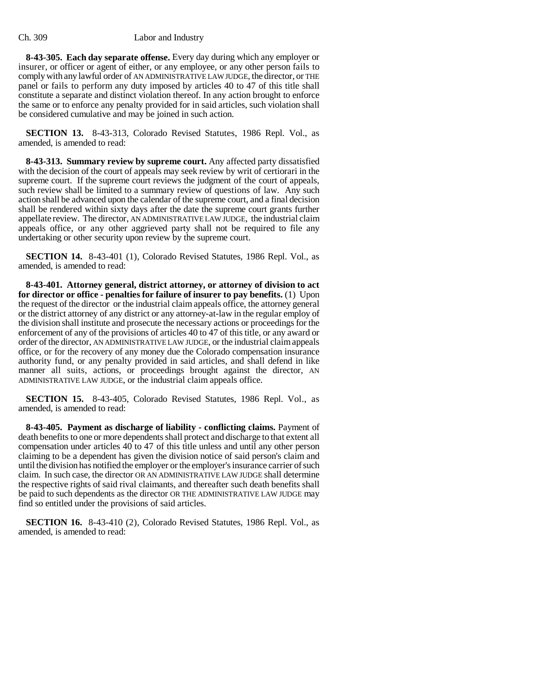**8-43-305. Each day separate offense.** Every day during which any employer or insurer, or officer or agent of either, or any employee, or any other person fails to comply with any lawful order of AN ADMINISTRATIVE LAW JUDGE, the director, or THE panel or fails to perform any duty imposed by articles 40 to 47 of this title shall constitute a separate and distinct violation thereof. In any action brought to enforce the same or to enforce any penalty provided for in said articles, such violation shall be considered cumulative and may be joined in such action.

**SECTION 13.** 8-43-313, Colorado Revised Statutes, 1986 Repl. Vol., as amended, is amended to read:

**8-43-313. Summary review by supreme court.** Any affected party dissatisfied with the decision of the court of appeals may seek review by writ of certiorari in the supreme court. If the supreme court reviews the judgment of the court of appeals, such review shall be limited to a summary review of questions of law. Any such action shall be advanced upon the calendar of the supreme court, and a final decision shall be rendered within sixty days after the date the supreme court grants further appellate review. The director, AN ADMINISTRATIVE LAW JUDGE, the industrial claim appeals office, or any other aggrieved party shall not be required to file any undertaking or other security upon review by the supreme court.

**SECTION 14.** 8-43-401 (1), Colorado Revised Statutes, 1986 Repl. Vol., as amended, is amended to read:

**8-43-401. Attorney general, district attorney, or attorney of division to act for director or office - penalties for failure of insurer to pay benefits.** (1) Upon the request of the director or the industrial claim appeals office, the attorney general or the district attorney of any district or any attorney-at-law in the regular employ of the division shall institute and prosecute the necessary actions or proceedings for the enforcement of any of the provisions of articles 40 to 47 of this title, or any award or order of the director, AN ADMINISTRATIVE LAW JUDGE, or the industrial claim appeals office, or for the recovery of any money due the Colorado compensation insurance authority fund, or any penalty provided in said articles, and shall defend in like manner all suits, actions, or proceedings brought against the director, AN ADMINISTRATIVE LAW JUDGE, or the industrial claim appeals office.

**SECTION 15.** 8-43-405, Colorado Revised Statutes, 1986 Repl. Vol., as amended, is amended to read:

**8-43-405. Payment as discharge of liability - conflicting claims.** Payment of death benefits to one or more dependents shall protect and discharge to that extent all compensation under articles 40 to 47 of this title unless and until any other person claiming to be a dependent has given the division notice of said person's claim and until the division has notified the employer or the employer's insurance carrier of such claim. In such case, the director OR AN ADMINISTRATIVE LAW JUDGE shall determine the respective rights of said rival claimants, and thereafter such death benefits shall be paid to such dependents as the director OR THE ADMINISTRATIVE LAW JUDGE may find so entitled under the provisions of said articles.

**SECTION 16.** 8-43-410 (2), Colorado Revised Statutes, 1986 Repl. Vol., as amended, is amended to read: